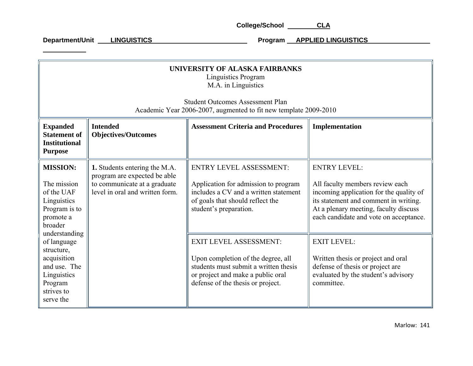| UNIVERSITY OF ALASKA FAIRBANKS<br><b>Linguistics Program</b><br>M.A. in Linguistics<br><b>Student Outcomes Assessment Plan</b><br>Academic Year 2006-2007, augmented to fit new template 2009-2010 |                                                                                                                                  |                                                                                                                                                                                        |                                                                                                                                                                                                                               |
|----------------------------------------------------------------------------------------------------------------------------------------------------------------------------------------------------|----------------------------------------------------------------------------------------------------------------------------------|----------------------------------------------------------------------------------------------------------------------------------------------------------------------------------------|-------------------------------------------------------------------------------------------------------------------------------------------------------------------------------------------------------------------------------|
| <b>Expanded</b><br><b>Statement of</b><br><b>Institutional</b><br><b>Purpose</b>                                                                                                                   | <b>Intended</b><br><b>Objectives/Outcomes</b>                                                                                    | <b>Assessment Criteria and Procedures</b>                                                                                                                                              | Implementation                                                                                                                                                                                                                |
| <b>MISSION:</b><br>The mission<br>of the UAF<br>Linguistics<br>Program is to<br>promote a<br>broader                                                                                               | 1. Students entering the M.A.<br>program are expected be able<br>to communicate at a graduate<br>level in oral and written form. | <b>ENTRY LEVEL ASSESSMENT:</b><br>Application for admission to program<br>includes a CV and a written statement<br>of goals that should reflect the<br>student's preparation.          | <b>ENTRY LEVEL:</b><br>All faculty members review each<br>incoming application for the quality of<br>its statement and comment in writing.<br>At a plenary meeting, faculty discuss<br>each candidate and vote on acceptance. |
| understanding<br>of language<br>structure,<br>acquisition<br>and use. The<br>Linguistics<br>Program<br>strives to<br>serve the                                                                     |                                                                                                                                  | <b>EXIT LEVEL ASSESSMENT:</b><br>Upon completion of the degree, all<br>students must submit a written thesis<br>or project and make a public oral<br>defense of the thesis or project. | <b>EXIT LEVEL:</b><br>Written thesis or project and oral<br>defense of thesis or project are<br>evaluated by the student's advisory<br>committee.                                                                             |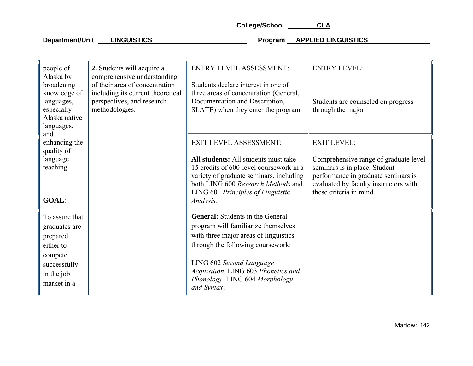| people of<br>Alaska by<br>broadening<br>knowledge of<br>languages,<br>especially<br>Alaska native | 2. Students will acquire a<br>comprehensive understanding<br>of their area of concentration<br>including its current theoretical<br>perspectives, and research<br>methodologies. | <b>ENTRY LEVEL ASSESSMENT:</b><br>Students declare interest in one of<br>three areas of concentration (General,<br>Documentation and Description,<br>SLATE) when they enter the program                            | <b>ENTRY LEVEL:</b><br>Students are counseled on progress<br>through the major                                                                                                    |
|---------------------------------------------------------------------------------------------------|----------------------------------------------------------------------------------------------------------------------------------------------------------------------------------|--------------------------------------------------------------------------------------------------------------------------------------------------------------------------------------------------------------------|-----------------------------------------------------------------------------------------------------------------------------------------------------------------------------------|
| languages,                                                                                        |                                                                                                                                                                                  |                                                                                                                                                                                                                    |                                                                                                                                                                                   |
| and<br>enhancing the<br>quality of                                                                |                                                                                                                                                                                  | <b>EXIT LEVEL ASSESSMENT:</b>                                                                                                                                                                                      | <b>EXIT LEVEL:</b>                                                                                                                                                                |
| language<br>teaching.<br><b>GOAL:</b>                                                             |                                                                                                                                                                                  | All students: All students must take<br>15 credits of 600-level coursework in a<br>variety of graduate seminars, including<br>both LING 600 Research Methods and<br>LING 601 Principles of Linguistic<br>Analysis. | Comprehensive range of graduate level<br>seminars is in place. Student<br>performance in graduate seminars is<br>evaluated by faculty instructors with<br>these criteria in mind. |
| To assure that                                                                                    |                                                                                                                                                                                  | General: Students in the General                                                                                                                                                                                   |                                                                                                                                                                                   |
| graduates are                                                                                     |                                                                                                                                                                                  | program will familiarize themselves                                                                                                                                                                                |                                                                                                                                                                                   |
| prepared                                                                                          |                                                                                                                                                                                  | with three major areas of linguistics                                                                                                                                                                              |                                                                                                                                                                                   |
| either to                                                                                         |                                                                                                                                                                                  | through the following coursework:                                                                                                                                                                                  |                                                                                                                                                                                   |
| compete<br>successfully<br>in the job<br>market in a                                              |                                                                                                                                                                                  | LING 602 Second Language<br>Acquisition, LING 603 Phonetics and<br>Phonology, LING 604 Morphology<br>and Syntax.                                                                                                   |                                                                                                                                                                                   |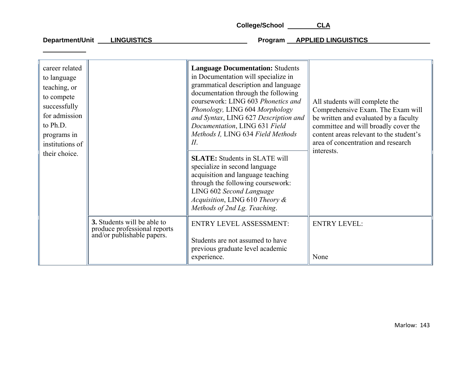| career related<br>to language<br>teaching, or<br>to compete<br>successfully<br>for admission<br>to Ph.D.<br>programs in<br>institutions of<br>their choice. |                                                                                                  | <b>Language Documentation: Students</b><br>in Documentation will specialize in<br>grammatical description and language<br>documentation through the following<br>coursework: LING 603 Phonetics and<br>Phonology, LING 604 Morphology<br>and Syntax, LING 627 Description and<br>Documentation, LING 631 Field<br>Methods I, LING 634 Field Methods<br>П.<br><b>SLATE:</b> Students in SLATE will<br>specialize in second language<br>acquisition and language teaching<br>through the following coursework:<br>LING 602 Second Language<br>Acquisition, LING 610 Theory &<br>Methods of 2nd Lg. Teaching. | All students will complete the<br>Comprehensive Exam. The Exam will<br>be written and evaluated by a faculty<br>committee and will broadly cover the<br>content areas relevant to the student's<br>area of concentration and research<br>interests. |
|-------------------------------------------------------------------------------------------------------------------------------------------------------------|--------------------------------------------------------------------------------------------------|------------------------------------------------------------------------------------------------------------------------------------------------------------------------------------------------------------------------------------------------------------------------------------------------------------------------------------------------------------------------------------------------------------------------------------------------------------------------------------------------------------------------------------------------------------------------------------------------------------|-----------------------------------------------------------------------------------------------------------------------------------------------------------------------------------------------------------------------------------------------------|
|                                                                                                                                                             | <b>3.</b> Students will be able to<br>produce professional reports<br>and/or publishable papers. | <b>ENTRY LEVEL ASSESSMENT:</b><br>Students are not assumed to have<br>previous graduate level academic<br>experience.                                                                                                                                                                                                                                                                                                                                                                                                                                                                                      | <b>ENTRY LEVEL:</b><br>None                                                                                                                                                                                                                         |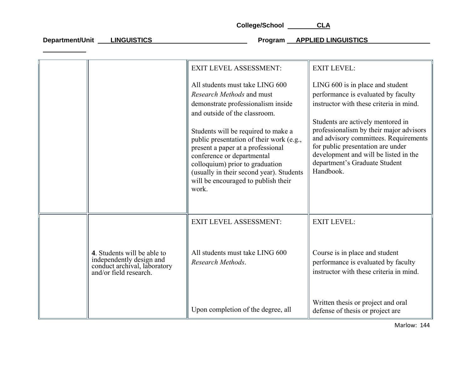|                                                                                                                   | <b>EXIT LEVEL ASSESSMENT:</b>                                                                                                                                                                                                                                                     | <b>EXIT LEVEL:</b>                                                                                                                                                                                           |
|-------------------------------------------------------------------------------------------------------------------|-----------------------------------------------------------------------------------------------------------------------------------------------------------------------------------------------------------------------------------------------------------------------------------|--------------------------------------------------------------------------------------------------------------------------------------------------------------------------------------------------------------|
|                                                                                                                   | All students must take LING 600                                                                                                                                                                                                                                                   | LING 600 is in place and student                                                                                                                                                                             |
|                                                                                                                   | Research Methods and must                                                                                                                                                                                                                                                         | performance is evaluated by faculty                                                                                                                                                                          |
|                                                                                                                   | demonstrate professionalism inside                                                                                                                                                                                                                                                | instructor with these criteria in mind.                                                                                                                                                                      |
|                                                                                                                   | and outside of the classroom.                                                                                                                                                                                                                                                     | Students are actively mentored in                                                                                                                                                                            |
|                                                                                                                   | Students will be required to make a<br>public presentation of their work (e.g.,<br>present a paper at a professional<br>conference or departmental<br>colloquium) prior to graduation<br>(usually in their second year). Students<br>will be encouraged to publish their<br>work. | professionalism by their major advisors<br>and advisory committees. Requirements<br>for public presentation are under<br>development and will be listed in the<br>department's Graduate Student<br>Handbook. |
|                                                                                                                   | <b>EXIT LEVEL ASSESSMENT:</b>                                                                                                                                                                                                                                                     | <b>EXIT LEVEL:</b>                                                                                                                                                                                           |
| 4. Students will be able to<br>independently design and<br>conduct archival, laboratory<br>and/or field research. | All students must take LING 600<br>Research Methods.                                                                                                                                                                                                                              | Course is in place and student<br>performance is evaluated by faculty<br>instructor with these criteria in mind.                                                                                             |
|                                                                                                                   | Upon completion of the degree, all                                                                                                                                                                                                                                                | Written thesis or project and oral<br>defense of thesis or project are                                                                                                                                       |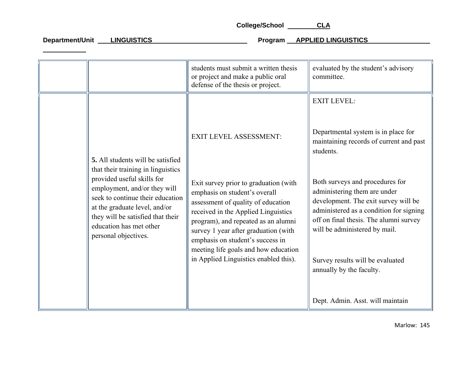|                                                                                                                                                                                                                                                                                                    | students must submit a written thesis<br>or project and make a public oral<br>defense of the thesis or project.                                                                                                                                                                                                                                                                          | evaluated by the student's advisory<br>committee.                                                                                                                                                                                                                                                                                                                                                                                                      |
|----------------------------------------------------------------------------------------------------------------------------------------------------------------------------------------------------------------------------------------------------------------------------------------------------|------------------------------------------------------------------------------------------------------------------------------------------------------------------------------------------------------------------------------------------------------------------------------------------------------------------------------------------------------------------------------------------|--------------------------------------------------------------------------------------------------------------------------------------------------------------------------------------------------------------------------------------------------------------------------------------------------------------------------------------------------------------------------------------------------------------------------------------------------------|
| 5. All students will be satisfied<br>that their training in linguistics<br>provided useful skills for<br>employment, and/or they will<br>seek to continue their education<br>at the graduate level, and/or<br>they will be satisfied that their<br>education has met other<br>personal objectives. | <b>EXIT LEVEL ASSESSMENT:</b><br>Exit survey prior to graduation (with<br>emphasis on student's overall<br>assessment of quality of education<br>received in the Applied Linguistics<br>program), and repeated as an alumni<br>survey 1 year after graduation (with<br>emphasis on student's success in<br>meeting life goals and how education<br>in Applied Linguistics enabled this). | <b>EXIT LEVEL:</b><br>Departmental system is in place for<br>maintaining records of current and past<br>students.<br>Both surveys and procedures for<br>administering them are under<br>development. The exit survey will be<br>administered as a condition for signing<br>off on final thesis. The alumni survey<br>will be administered by mail.<br>Survey results will be evaluated<br>annually by the faculty.<br>Dept. Admin. Asst. will maintain |